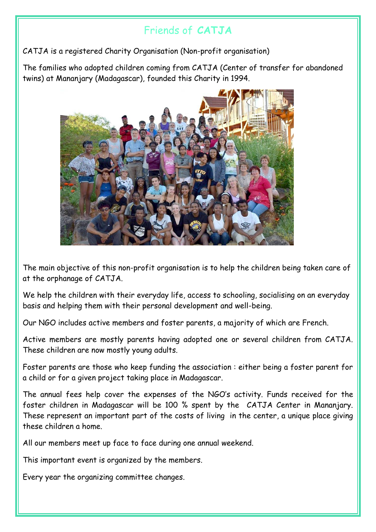## Friends of **CATJA**

CATJA is a registered Charity Organisation (Non-profit organisation)

The families who adopted children coming from CATJA (Center of transfer for abandoned twins) at Mananjary (Madagascar), founded this Charity in 1994.



The main objective of this non-profit organisation is to help the children being taken care of at the orphanage of CATJA.

We help the children with their everyday life, access to schooling, socialising on an everyday basis and helping them with their personal development and well-being.

Our NGO includes active members and foster parents, a majority of which are French.

Active members are mostly parents having adopted one or several children from CATJA. These children are now mostly young adults.

Foster parents are those who keep funding the association : either being a foster parent for a child or for a given project taking place in Madagascar.

The annual fees help cover the expenses of the NGO's activity. Funds received for the foster children in Madagascar will be 100 % spent by the CATJA Center in Mananjary. These represent an important part of the costs of living in the center, a unique place giving these children a home.

All our members meet up face to face during one annual weekend.

This important event is organized by the members.

Every year the organizing committee changes.